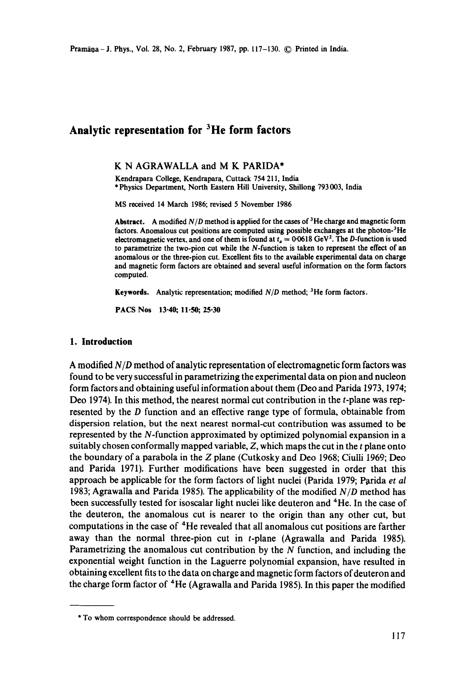# **Analytic representation for 3He form factors**

#### K N AGRAWALLA and M K PARIDA\*

Kendrapara College, Kendrapaxa, Cuttack 754 211, India \* Physics Department, North Eastern Hill University, Shiliong 793 003, India

MS received 14 March 1986; revised 5 November 1986

**Abstract.** A modified *N/D* method is applied for the cases of 3He charge and magnetic form **factors. Anomalous cut** positions are computed using possible exchanges at the **photon-3He**  electromagnetic vertex, and one of them is found at  $t<sub>a</sub> = 0.0618 \text{ GeV}^2$ . The D-function is used to parametrize the two-pion cut while the N-function is taken to represent the effect of **an anomalous** or the three-pion cut. Excellent fits to the available experimental data on charge **and** magnetic form factors are obtained and several useful information on the form factors computed.

Keywords. Analytic representation; modified *N/D* method; <sup>3</sup>He form factors.

PACS Nos 13-40; 11-50; 25-30

#### **1. Introduction**

A modified *N/D* method of analytic representation of electromagnetic form factors was found to be very successful in parametrizing the experimental data on pion and nucleon form factors and obtaining useful information about them (Deo and Parida 1973, 1974; Deo 1974). In this method, the nearest normal cut contribution in the t-plane was represented by the D function and an effective range type of formula, obtainable from dispersion relation, but the next nearest normal-cut contribution was assumed to be represented by the N-function approximated by optimized polynomial expansion in a suitably chosen conformally mapped variable,  $Z$ , which maps the cut in the  $t$  plane onto the boundary of a parabola in the Z plane (Cutkosky and Deo 1968; Ciulli 1969; Deo and Parida 1971). Further modifications have been suggested in order that this approach be applicable for the form factors of light nuclei (Parida 1979; Parida *et al*  1983; Agrawalla and Parida 1985). The applicability of the modified *N/D* method has been successfully tested for isoscalar light nuclei like deuteron and <sup>4</sup>He. In the case of the deuteron, the anomalous cut is nearer to the origin than any other cut, but computations in the case of 4He revealed that all anomalous cut positions are farther away than the normal three-pion cut in t-plane (Agrawalla and Parida 1985). Parametrizing the anomalous cut contribution by the  $N$  function, and including the exponential weight function in the Laguerre polynomial expansion, have resulted in obtaining excellent fits to the data on charge and magnetic form factors of deuteron and the charge form factor of <sup>4</sup>He (Agrawalla and Parida 1985). In this paper the modified

<sup>\*</sup> To whom correspondence should be addressed.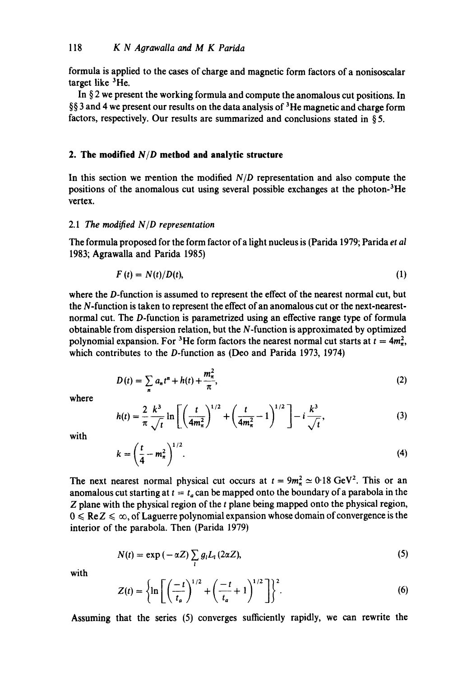formula is applied to the cases of charge and magnetic form factors of a nonisoscalar target like <sup>3</sup>He.

In § 2 we present the working formula and compute the anomalous cut positions. In  $\S$ § 3 and 4 we present our results on the data analysis of <sup>3</sup>He magnetic and charge form factors, respectively. Our results are summarized and conclusions stated in § 5.

# **2. The modified** *N/D* **method and analytic structure**

In this section we mention the modified *N/D* representation and also compute the positions of the anomalous cut using several possible exchanges at the photon-3He vertex.

## 2.1 The *modified NID representation*

The formula proposed for the form factor of a light nucleus is (Parida 1979; Parida *et al*  1983; Agrawalla and Parida 1985)

$$
F(t) = N(t)/D(t),
$$
\n<sup>(1)</sup>

where the D-function is assumed to represent the effect of the nearest normal cut, but the N-function is taken to represent the effect of an anomalous cut or the next-nearestnormal cut. The D-function is parametrized using an effective range type of formula obtainable from dispersion relation, but the N-function is approximated by optimized polynomial expansion. For <sup>3</sup>He form factors the nearest normal cut starts at  $t = 4m_{\pi}^2$ , which contributes to the D-function as (Deo and Parida 1973, 1974)

$$
D(t) = \sum_{n} a_n t^n + h(t) + \frac{m_{\pi}^2}{\pi},
$$
 (2)

where

$$
h(t) = \frac{2}{\pi} \frac{k^3}{\sqrt{t}} \ln \left[ \left( \frac{t}{4m_\pi^2} \right)^{1/2} + \left( \frac{t}{4m_\pi^2} - 1 \right)^{1/2} \right] - i \frac{k^3}{\sqrt{t}}, \tag{3}
$$

with

$$
k = \left(\frac{t}{4} - m_{\pi}^2\right)^{1/2}.\tag{4}
$$

The next nearest normal physical cut occurs at  $t = 9m_{\pi}^2 \approx 0.18 \text{ GeV}^2$ . This or an anomalous cut starting at  $t = t_a$  can be mapped onto the boundary of a parabola in the Z plane with the physical region of the t plane being mapped onto the physical region,  $0 \leqslant Re Z \leqslant \infty$ , of Laguerre polynomial expansion whose domain of convergence is the interior of the parabola. Then (Parida 1979)

$$
N(t) = \exp(-\alpha Z) \sum_{i} g_i L_i (2\alpha Z),
$$
 (5)

with

$$
Z(t) = \left\{ \ln \left[ \left( \frac{-t}{t_a} \right)^{1/2} + \left( \frac{-t}{t_a} + 1 \right)^{1/2} \right] \right\}^2.
$$
 (6)

Assuming that the series (5) converges sufficiently rapidly, we can rewrite the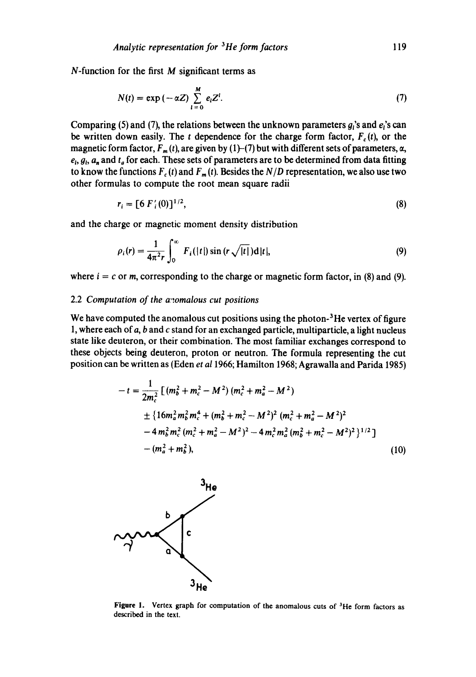$N$ -function for the first  $M$  significant terms as

$$
N(t) = \exp(-\alpha Z) \sum_{i=0}^{M} e_i Z^i.
$$
 (7)

Comparing (5) and (7), the relations between the unknown parameters  $g_i$ 's and  $e_i$ 's can be written down easily. The t dependence for the charge form factor,  $F_c(t)$ , or the magnetic form factor,  $F_m(t)$ , are given by (1)-(7) but with different sets of parameters,  $\alpha$ ,  $e_i$ ,  $g_i$ ,  $a_n$  and  $t_a$  for each. These sets of parameters are to be determined from data fitting to know the functions  $F_c(t)$  and  $F_m(t)$ . Besides the  $N/D$  representation, we also use two other formulas to compute the root mean square radii

$$
r_i = [6 F_i(0)]^{1/2}, \tag{8}
$$

and the charge or magnetic moment density distribution

$$
\rho_i(r) = \frac{1}{4\pi^2 r} \int_0^\infty F_i(|t|) \sin(r\sqrt{|t|}) d|t|,
$$
\n(9)

where  $i = c$  or m, corresponding to the charge or magnetic form factor, in (8) and (9).

#### 2.2 *Computation of the anomalous cut positions*

We have computed the anomalous cut positions using the photon- $3$ He vertex of figure 1, where each of a, b and c stand for an exchanged particle, multiparticle, a light nucleus state like deuteron, or their combination. The most familiar exchanges correspond to these objects being deuteron, proton or neutron. The formula representing the cut position can be written as (Eden *et a11966;* Hamilton 1968; Agrawalla and Parida 1985)

$$
-t = \frac{1}{2m_c^2} \left[ (m_b^2 + m_c^2 - M^2) (m_c^2 + m_a^2 - M^2) \right.\n\pm \left\{ 16m_a^2 m_b^2 m_c^4 + (m_b^2 + m_c^2 - M^2)^2 (m_c^2 + m_a^2 - M^2)^2 \right.\n- 4m_b^2 m_c^2 (m_c^2 + m_a^2 - M^2)^2 - 4m_c^2 m_a^2 (m_b^2 + m_c^2 - M^2)^2 \right\}^{1/2} \n- (m_a^2 + m_b^2),
$$
\n(10)



Figure 1. Vertex graph for computation of the anomalous cuts of <sup>3</sup>He form factors as described in the text.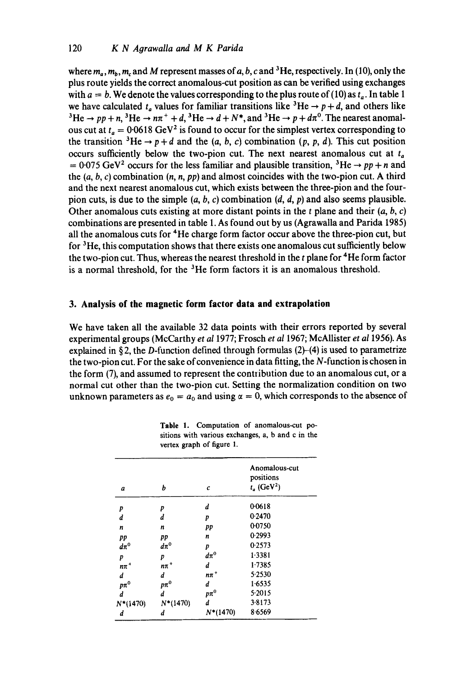where  $m_a$ ,  $m_b$ ,  $m_c$  and M represent masses of a, b, c and <sup>3</sup>He, respectively. In (10), only the plus route yields the correct anomalous-cut position as can be verified using exchanges with  $a = b$ . We denote the values corresponding to the plus route of (10) as  $t_a$ . In table 1 we have calculated  $t_a$  values for familiar transitions like <sup>3</sup>He  $\rightarrow$  p + d, and others like <sup>3</sup>He  $\rightarrow$  *pp* + *n*, <sup>3</sup>He  $\rightarrow$  *n* $\pi$ <sup>+</sup> + *d*, <sup>3</sup>He  $\rightarrow$  *d* + *N*<sup>\*</sup>, and <sup>3</sup>He  $\rightarrow$  *p* + *d* $\pi$ <sup>0</sup>. The nearest anomalous cut at  $t_a = 0.0618$  GeV<sup>2</sup> is found to occur for the simplest vertex corresponding to the transition  ${}^{3}He \rightarrow p + d$  and the (a, b, c) combination (p, p, d). This cut position occurs sufficiently below the two-pion cut. The next nearest anomalous cut at  $t_a$  $= 0.075 \text{ GeV}^2$  occurs for the less familiar and plausible transition, <sup>3</sup>He  $\rightarrow$  pp + n and the (a, b, c) combination *(n, n, pp)* and almost coincides with the two-pion cut. A third and the next nearest anomalous cut, which exists between the three-pion and the fourpion cuts, is due to the simple  $(a, b, c)$  combination  $(d, d, p)$  and also seems plausible. Other anomalous cuts existing at more distant points in the  $t$  plane and their  $(a, b, c)$ combinations are presented in table 1. As found out by us (Agrawalla and Parida 1985) all the anomalous cuts for 4He charge form factor occur above the three-pion cut, but for  ${}^{3}$ He, this computation shows that there exists one anomalous cut sufficiently below the two-pion cut. Thus, whereas the nearest threshold in the  $t$  plane for  $4$ He form factor is a normal threshold, for the  ${}^{3}$ He form factors it is an anomalous threshold.

# **3. Analysis of the magnetic form factor data and extrapolation**

We have taken all the available 32 data points with their errors reported by several experimental groups (McCarthy *et a11977;* Frosch *et a11967;* McAllister *et a11956).* As explained in §2, the D-function defined through formulas  $(2)-(4)$  is used to parametrize the two-pion cut. For the sake of convenience in data fitting, the N-function is chosen in the form (7), and assumed to represent the contribution due to an anomalous cut, or a normal cut other than the two-pion cut. Setting the normalization condition on two unknown parameters as  $e_0 = a_0$  and using  $\alpha = 0$ , which corresponds to the absence of

| a                   | b                   | c           | Anomalous-cut<br>positions<br>$t_a$ (GeV <sup>2</sup> ) |
|---------------------|---------------------|-------------|---------------------------------------------------------|
| p                   | P                   | d           | 0.0618                                                  |
| d                   | d                   | р           | 0.2470                                                  |
| n                   | n                   | pp          | 0.0750                                                  |
| pp                  | pp                  | n           | 0.2993                                                  |
| $d\pi^0$            | $d\pi^0$            | p           | 0.2573                                                  |
| p                   | p                   | $d\pi^0$    | 1.3381                                                  |
| $n\pi$ <sup>+</sup> | $n\pi$ <sup>+</sup> | d           | 1.7385                                                  |
| d                   | d                   | $n\pi$ $^+$ | 5.2530                                                  |
| $p\pi^0$            | $p\pi^0$            | d           | 1.6535                                                  |
| d                   | d                   | $p\pi^0$    | 5.2015                                                  |
| $N*(1470)$          | $N^*(1470)$         | d           | 3-8173                                                  |
| d                   | d                   | $N^*(1470)$ | 8.6569                                                  |

|  | Table 1. Computation of anomalous-cut po-         |  |  |  |  |
|--|---------------------------------------------------|--|--|--|--|
|  | sitions with various exchanges, a, b and c in the |  |  |  |  |
|  | vertex graph of figure 1.                         |  |  |  |  |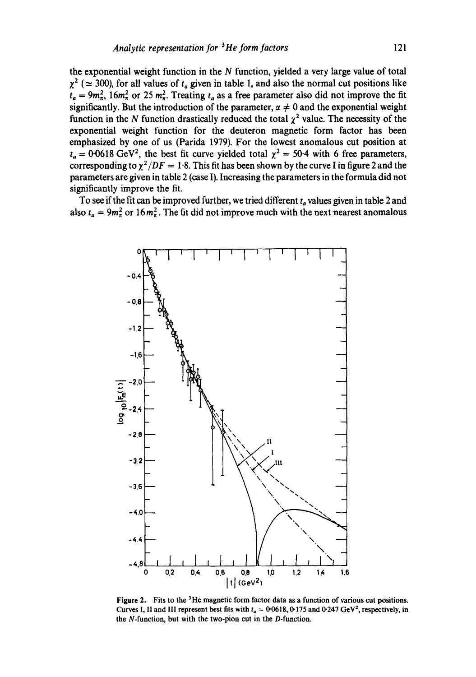the exponential weight function in the  $N$  function, yielded a very large value of total  $\chi^2$  ( $\simeq$  300), for all values of  $t_a$  given in table 1, and also the normal cut positions like  $t_a = 9m_{\pi}^2$ ,  $16m_{\pi}^2$  or 25  $m_{\pi}^2$ . Treating  $t_a$  as a free parameter also did not improve the fit significantly. But the introduction of the parameter,  $\alpha \neq 0$  and the exponential weight function in the N function drastically reduced the total  $\chi^2$  value. The necessity of the exponential weight function for the deuteron magnetic form factor has been emphasized by one of us (Parida 1979). For the lowest anomalous cut position at  $t_a = 0.0618 \text{ GeV}^2$ , the best fit curve yielded total  $\chi^2 = 50.4$  with 6 free parameters, corresponding to  $\chi^2/DF = 1.8$ . This fit has been shown by the curve I in figure 2 and the parameters are given in table 2 (case I). Increasing the parameters in the formula did not significantly improve the fit.

To see if the fit can be improved further, we tried different  $t_a$  values given in table 2 and also  $t_a = 9m_\pi^2$  or  $16m_\pi^2$ . The fit did not improve much with the next nearest anomalous



**Figure 2.** Fits to the <sup>3</sup>He magnetic form factor data as a function of various cut positions. Curves I, II and III represent best fits with  $t_a = 0.0618$ , 0.175 and 0.247 GeV<sup>2</sup>, respectively, in the N-function, but with the two-pion cut in the D-function.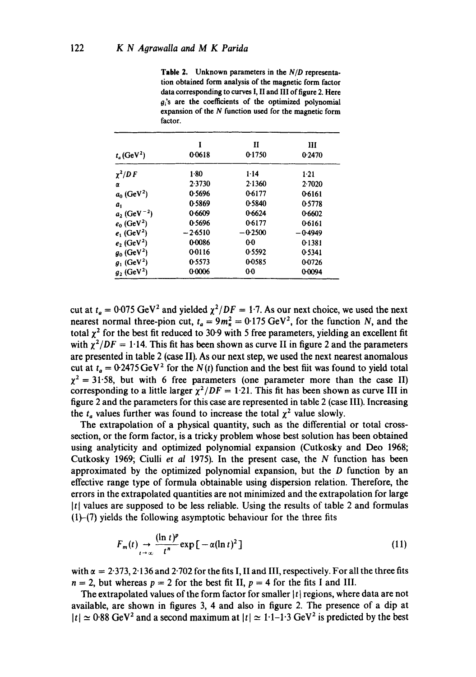**Table** 2. Unknown parameters in the *N/D* representation obtained form analysis of the magnetic form factor data corresponding to curves I, II and III of figure 2. Here  $g_i$ 's are the coefficients of the optimized polynomial expansion of the N function used for the magnetic form factor.

| I<br>00618 | П<br>0.1750    | ш<br>0.2470 |
|------------|----------------|-------------|
| $1-80$     | $1 - 14$       | 1:21        |
| 2.3730     | 2.1360         | 2.7020      |
| 0.5696     | 0.6177         | 06161       |
| 0.5869     | 0.5840         | 0.5778      |
| 0.6609     | 0.6624         | 0.6602      |
| 0.5696     | 0.6177         | 0.6161      |
| $-2.6510$  | $-0.2500$      | $-0.4949$   |
| 0.0086     | 00             | 0.1381      |
| 0.0116     | 0.5592         | 05341       |
| 0.5573     | 0-0585         | 0.0726      |
| 0.0006     | 0 <sub>0</sub> | 0-0094      |
|            |                |             |

cut at  $t_a = 0.075 \text{ GeV}^2$  and yielded  $\chi^2/DF = 1.7$ . As our next choice, we used the next nearest normal three-pion cut,  $t_a = 9m_\pi^2 = 0.175 \text{ GeV}^2$ , for the function N, and the total  $\chi^2$  for the best fit reduced to 30.9 with 5 free parameters, yielding an excellent fit with  $\chi^2/DF = 1.14$ . This fit has been shown as curve II in figure 2 and the parameters are presented in table 2 (case II). As our next step, we used the next nearest anomalous cut at  $t_a = 0.2475 \,\text{GeV}^2$  for the  $N(t)$  function and the best fiit was found to yield total  $\chi^2 = 31.58$ , but with 6 free parameters (one parameter more than the case II) corresponding to a little larger  $\chi^2/DF = 1.21$ . This fit has been shown as curve III in figure 2 and the parameters for this case are represented in table 2 (case III). Increasing the  $t_a$  values further was found to increase the total  $\chi^2$  value slowly.

The extrapolation of a physical quantity, such as the differential or total crosssection, or the form factor, is a tricky problem whose best solution has been obtained using analyticity and optimized polynomial expansion (Cutkosky and Deo 1968; Cutkosky 1969; Ciulli *et al* 1975). In the present case, the N function has been approximated by the optimized polynomial expansion, but the  $D$  function by an effective range type of formula obtainable using dispersion relation. Therefore, the errors in the extrapolated quantities are not minimized and the extrapolation for large  $|t|$  values are supposed to be less reliable. Using the results of table 2 and formulas  $(1)$ - $(7)$  yields the following asymptotic behaviour for the three fits

$$
F_m(t) \underset{t \to \infty}{\to} \frac{(\ln t)^p}{t^n} \exp \big[ -\alpha (\ln t)^2 \big] \tag{11}
$$

with  $\alpha = 2.373$ , 2.136 and 2.702 for the fits I, II and III, respectively. For all the three fits  $n = 2$ , but whereas  $p = 2$  for the best fit II,  $p = 4$  for the fits I and III.

The extrapolated values of the form factor for smaller  $|t|$  regions, where data are not available, are shown in figures 3, 4 and also in figure 2. The presence of a dip at  $|t| \approx 0.88$  GeV<sup>2</sup> and a second maximum at  $|t| \approx 1.1$ -1.3 GeV<sup>2</sup> is predicted by the best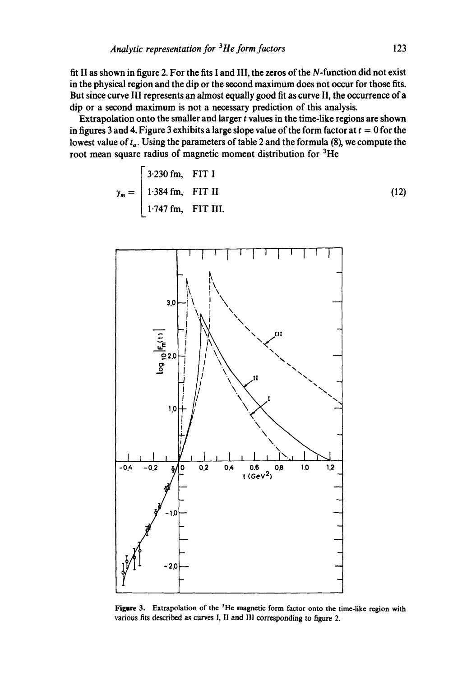fit II as shown in figure 2. For the fits I and III, the zeros of the N-function did not exist in the physical region and the dip or the second maximum does not occur for those fits. But since curve III represents an almost equally good fit as curve II, the occurrence of a dip or a second maximum is not a necessary prediction of this analysis.

Extrapolation onto the smaller and larger  $t$  values in the time-like regions are shown in figures 3 and 4. Figure 3 exhibits a large slope value of the form factor at  $t = 0$  for the lowest value of  $t_a$ . Using the parameters of table 2 and the formula (8), we compute the root mean square radius of magnetic moment distribution for <sup>3</sup>He

$$
\gamma_m = \begin{bmatrix} 3.230 \text{ fm}, & \text{FIT I} \\ 1.384 \text{ fm}, & \text{FIT II} \\ 1.747 \text{ fm}, & \text{FIT III.} \end{bmatrix}
$$
 (12)



**Figure** 3. Extrapolation of the 3He magnetic form factor onto the time-like region with various fits described as curves I, II and III corresponding to figure 2.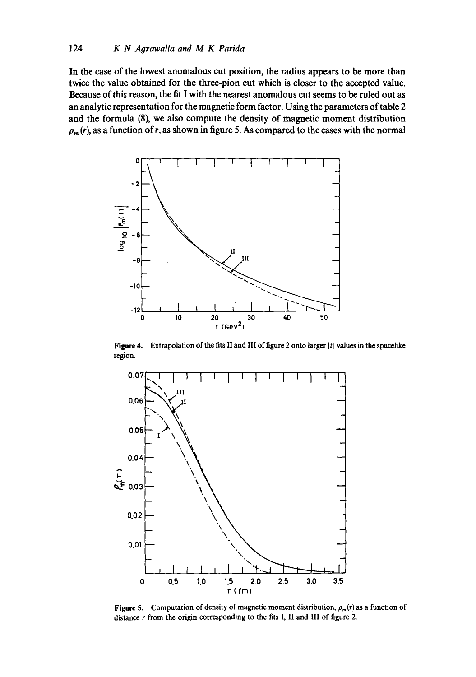**In the case of the lowest anomalous cut position, the radius appears to be more than twice the value obtained for the three-pion cut which is closer to the accepted value. Because of this reason, the fit I with the nearest anomalous cut seems to be ruled out as an analytic representation for the magnetic form factor. Using the parameters of table 2 and the formula (8), we also compute the density of magnetic moment distribution**   $p_m(r)$ , as a function of r, as shown in figure 5. As compared to the cases with the normal



**Figure 4.** Extrapolation of the fits II and III of figure 2 onto larger  $|t|$  values in the spacelike region.



**Figure 5.** Computation of density of magnetic moment distribution,  $\rho_m(r)$  as a function of **distance r from the origin corresponding to the fits** I, II and III **of figure** 2.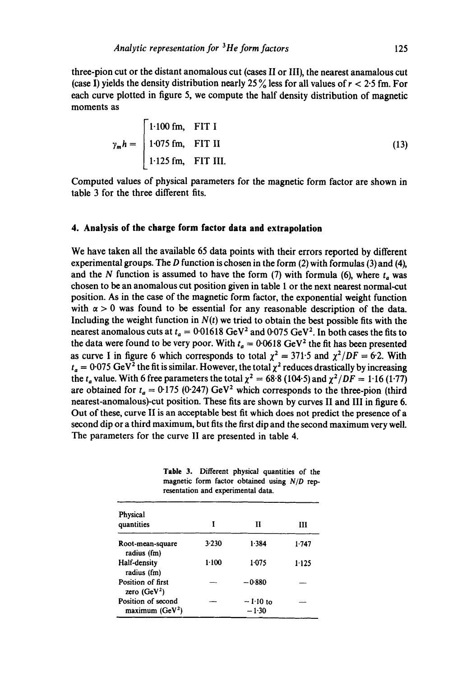three-pion cut or the distant anomalous cut (cases II or III), the nearest anamalous cut (case I) yields the density distribution nearly 25 % less for all values of  $r < 2.5$  fm. For each curve plotted in figure 5, we compute the half density distribution of magnetic moments as

$$
\gamma_m h = \begin{cases} 1.100 \text{ fm}, & \text{FIT I} \\ 1.075 \text{ fm}, & \text{FIT II} \\ 1.125 \text{ fm}, & \text{FIT III.} \end{cases}
$$
 (13)

Computed values of physical parameters for the magnetic form factor are shown in table 3 for the three different fits.

## **4. Analysis of the charge form factor data and extrapolation**

We have taken all the available 65 data points with their errors reported by different experimental groups. The D function is chosen in the form  $(2)$  with formulas  $(3)$  and  $(4)$ , and the N function is assumed to have the form (7) with formula (6), where  $t_a$  was chosen to be an anomalous cut position given in table 1 or the next nearest normal-cut position. As in the case of the magnetic form factor, the exponential weight function with  $\alpha > 0$  was found to be essential for any reasonable description of the data. Including the weight function in  $N(t)$  we tried to obtain the best possible fits with the nearest anomalous cuts at  $t_a = 0.01618 \text{ GeV}^2$  and  $0.075 \text{ GeV}^2$ . In both cases the fits to the data were found to be very poor. With  $t_a = 0.0618 \text{ GeV}^2$  the fit has been presented as curve I in figure 6 which corresponds to total  $\chi^2 = 371.5$  and  $\chi^2/DF = 6.2$ . With  $t_a = 0.075 \text{ GeV}^2$  the fit is similar. However, the total  $\chi^2$  reduces drastically by increasing the  $t_a$  value. With 6 free parameters the total  $\chi^2 = 68.8$  (104.5) and  $\chi^2/DF = 1.16$  (1.77) are obtained for  $t_a = 0.175$  (0.247) GeV<sup>2</sup> which corresponds to the three-pion (third nearest-anomalous)-cut position. These fits are shown by curves II and III in figure 6. Out of these, curve II is an acceptable best fit which does not predict the presence of a second dip or a third maximum, but fits the first dip and the second maximum very well. The parameters for the curve II are presented in table 4.

**Table** 3. Different physical quantities of the magnetic form factor obtained using *N/D* representation and experimental data.

| Physical<br>quantities                 | T     | Н                     | Ш       |
|----------------------------------------|-------|-----------------------|---------|
| Root-mean-square<br>radius (fm)        | 3.230 | 1.384                 | $1-747$ |
| Half-density<br>radius (fm)            | 1.100 | 1.075                 | 1.125   |
| Position of first<br>zero $(GeV2)$     |       | $-0.880$              |         |
| Position of second<br>maximum $(GeV2)$ |       | $-1.10$ to<br>$-1.30$ |         |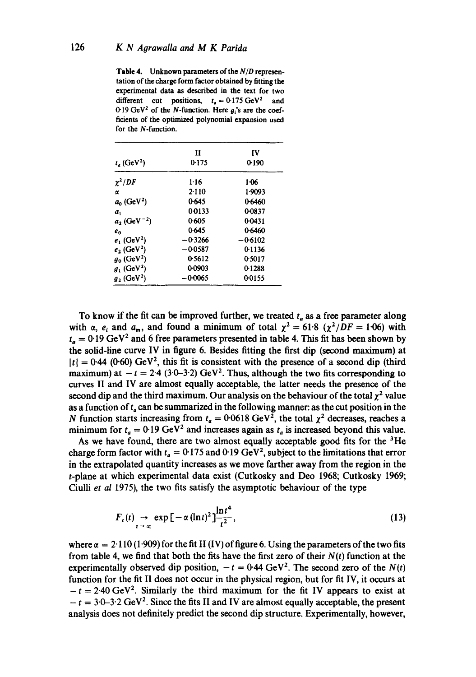Table 4. Unknown parameters of the *N/D* representation of the charge form factor obtained by fitting the experimental data as described in the text for two different cut positions,  $t_a = 0.175 \text{ GeV}^2$  and 0.19 GeV<sup>2</sup> of the N-function. Here  $g_i$ 's are the coefficients of the optimized polynomial expansion used for the N-function.

|                            | П         | IV<br>0-190 |  |
|----------------------------|-----------|-------------|--|
| $t_e$ (GeV <sup>2</sup> )  | 0.175     |             |  |
| $\chi^2/DF$                | $1 - 16$  | 1-06        |  |
| α                          | 2.110     | 1.9093      |  |
| $a_0$ (GeV <sup>2</sup> )  | 0.645     | 0.6460      |  |
| $a_{1}$                    | 0.0133    | 0-0837      |  |
| $a_2$ (GeV <sup>-2</sup> ) | 0.605     | 0.0431      |  |
| $e_0$                      | 0.645     | 0.6460      |  |
| $e_i$ (GeV <sup>2</sup> )  | $-0.3266$ | -06102      |  |
| $e_2$ (GeV <sup>2</sup> )  | $-0.0587$ | 0-1136      |  |
| $g_0$ (GeV <sup>2</sup> )  | 0.5612    | 0.5017      |  |
| $g_1$ (GeV <sup>2</sup> )  | 0.0903    | 0-1288      |  |
| $g_2$ (GeV <sup>2</sup> )  | 0.0065    | 00155       |  |

To know if the fit can be improved further, we treated  $t_a$  as a free parameter along with  $\alpha$ ,  $e_i$  and  $a_m$ , and found a minimum of total  $\chi^2 = 61.8$  ( $\chi^2/DF = 1.06$ ) with  $t_a = 0.19$  GeV<sup>2</sup> and 6 free parameters presented in table 4. This fit has been shown by the solid-line curve IV in figure 6. Besides fitting the first dip (second maximum) at  $| t | = 0.44$  (0.60) GeV<sup>2</sup>, this fit is consistent with the presence of a second dip (third maximum) at  $-t = 2.4$  (3.0–3.2) GeV<sup>2</sup>. Thus, although the two fits corresponding to curves II and IV are almost equally acceptable, the latter needs the presence of the second dip and the third maximum. Our analysis on the behaviour of the total  $\chi^2$  value as a function of  $t_a$  can be summarized in the following manner: as the cut position in the N function starts increasing from  $t_a = 0.0618 \text{ GeV}^2$ , the total  $\chi^2$  decreases, reaches a minimum for  $t_a = 0.19 \text{ GeV}^2$  and increases again as  $t_a$  is increased beyond this value.

As we have found, there are two almost equally acceptable good fits for the  ${}^{3}$ He charge form factor with  $t_a = 0.175$  and 0.19 GeV<sup>2</sup>, subject to the limitations that error in the extrapolated quantity increases as we move farther away from the region in the t-plane at which experimental data exist (Cutkosky and Deo 1968; Cutkosky 1969; Ciulli *et al* 1975), the two fits satisfy the asymptotic behaviour of the type

$$
F_c(t) \to \exp\left[-\alpha (\ln t)^2\right] \frac{\ln t^4}{t^2},\tag{13}
$$

where  $\alpha = 2.110 (1.909)$  for the fit II (IV) of figure 6. Using the parameters of the two fits from table 4, we find that both the fits have the first zero of their  $N(t)$  function at the experimentally observed dip position,  $-t = 0.44$  GeV<sup>2</sup>. The second zero of the  $N(t)$ function for the fit II does not occur in the physical region, but for fit IV, it occurs at  $-t = 2.40 \text{ GeV}^2$ . Similarly the third maximum for the fit IV appears to exist at  $-t = 3.0-3.2$  GeV<sup>2</sup>. Since the fits II and IV are almost equally acceptable, the present analysis does not definitely predict the second dip structure. Experimentally, however,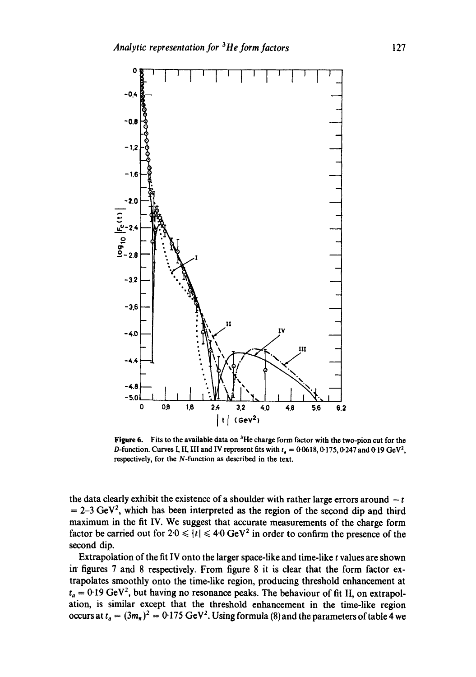

**Figure** 6. Fits to the available data on 3He charge form factor with the two-pion cut for the D-function. Curves I, II, III and IV represent fits with  $t_a = 0.0618, 0.175, 0.247$  and 0.19 GeV<sup>2</sup>, respectively, for the N-function as described in the text.

the data clearly exhibit the existence of a shoulder with rather large errors around  $-t$  $=2-3 \text{ GeV}^2$ , which has been interpreted as the region of the second dip and third maximum in the fit IV. We suggest that accurate measurements of the charge form factor be carried out for  $2.0 \le |t| \le 4.0$  GeV<sup>2</sup> in order to confirm the presence of the second dip.

Extrapolation of the fit IV onto the larger space-like and time-like  $t$  values are shown in figures  $7$  and  $8$  respectively. From figure  $8$  it is clear that the form factor extrapolates smoothly onto the time-like region, producing threshold enhancement at  $t_a = 0.19 \text{ GeV}^2$ , but having no resonance peaks. The behaviour of fit II, on extrapolation, is similar except that the threshold enhancement in the time-like region occurs at  $t_a = (3m_\pi)^2 = 0.175 \text{ GeV}^2$ . Using formula (8) and the parameters of table 4 we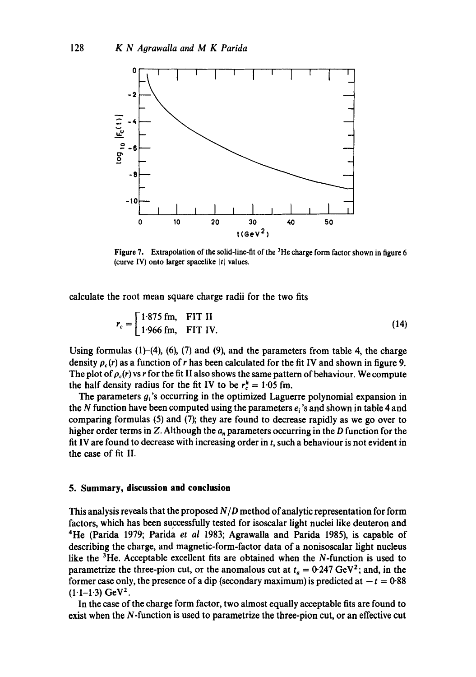

**Figure** 7. Extrapolation of the solid-line-fit of the 3He charge form factor shown in figure 6 (curve IV) onto larger spacelike  $|t|$  values.

calculate the root mean square charge radii for the two fits

$$
r_c = \begin{bmatrix} 1.875 \text{ fm}, & \text{FIT II} \\ 1.966 \text{ fm}, & \text{FIT IV.} \end{bmatrix}
$$
 (14)

Using formulas  $(1)$ – $(4)$ ,  $(6)$ ,  $(7)$  and  $(9)$ , and the parameters from table 4, the charge density  $\rho_c(r)$  as a function of r has been calculated for the fit IV and shown in figure 9. The plot of  $\rho_c(r)$  vs r for the fit II also shows the same pattern of behaviour. We compute the half density radius for the fit IV to be  $r_c^h = 1.05$  fm.

The parameters  $g_i$ 's occurring in the optimized Laguerre polynomial expansion in the N function have been computed using the parameters  $e_i$ 's and shown in table 4 and comparing formulas (5) and (7); they are found to decrease rapidly as we go over to higher order terms in Z. Although the  $a_n$  parameters occurring in the D function for the fit IV are found to decrease with increasing order in t, such a behaviour is not evident in the case of fit II.

#### **5. Summary, discussion and conclusion**

This analysis reveals that the proposed *N/D* method of analytic representation for form factors, which has been successfully tested for isoscalar light nuclei like deuteron and 4He (Parida 1979; Parida *et al* 1983; Agrawalla and Parida 1985), is capable of describing the charge, and magnetic-form-factor data of a nonisoscalar light nucleus like the  ${}^{3}$ He. Acceptable excellent fits are obtained when the N-function is used to parametrize the three-pion cut, or the anomalous cut at  $t_a = 0.247 \text{ GeV}^2$ ; and, in the former case only, the presence of a dip (secondary maximum) is predicted at  $-t = 0.88$  $(1.1-1.3) GeV<sup>2</sup>$ .

In the case of the charge form factor, two almost equally acceptable fits are found to exist when the N-function is used to parametrize the three-pion cut, or an effective cut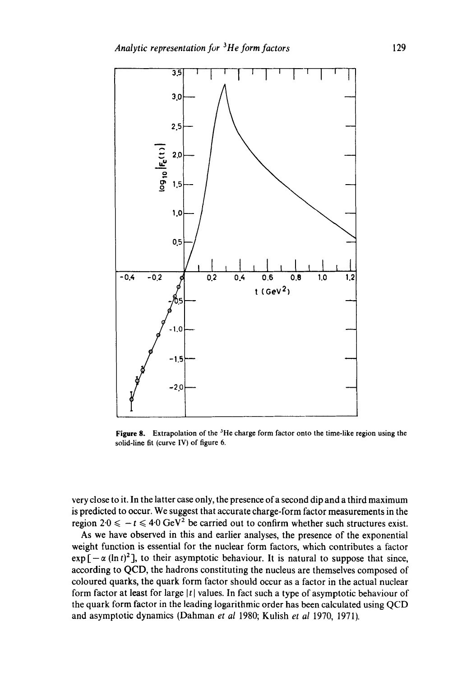

Figure 8. Extrapolation of the  ${}^{3}$ He charge form factor onto the time-like region using the solid-line fit (curve IV} of figure 6.

very close to it. In the latter case only, the presence of a second dip and a third maximum is predicted to occur. We suggest that accurate charge-form factor measurements in the region  $2.0 \le -t \le 4.0 \text{ GeV}^2$  be carried out to confirm whether such structures exist.

As we have observed in this and earlier analyses, the presence of the exponential weight function is essential for the nuclear form factors, which contributes a factor  $exp[-\alpha (\ln t)^2]$ , to their asymptotic behaviour. It is natural to suppose that since, according to QCD, the hadrons constituting the nucleus are themselves composed of coloured quarks, the quark form factor should occur as a factor in the actual nuclear form factor at least for large  $|t|$  values. In fact such a type of asymptotic behaviour of the quark form factor in the leading logarithmic order has been calculated using QCD and asymptotic dynamics (Dahman *et al* 1980; Kulish *et al* 1970, 1971).